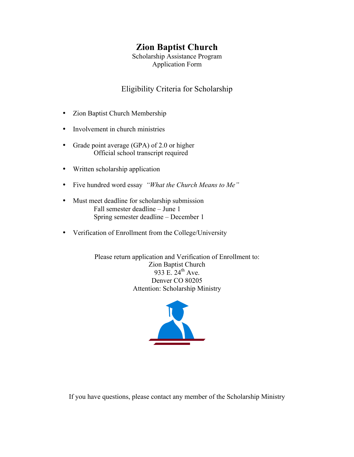## **Zion Baptist Church**

Scholarship Assistance Program Application Form

### Eligibility Criteria for Scholarship

- Zion Baptist Church Membership
- Involvement in church ministries
- Grade point average (GPA) of 2.0 or higher Official school transcript required
- Written scholarship application
- Five hundred word essay *"What the Church Means to Me"*
- Must meet deadline for scholarship submission Fall semester deadline – June 1 Spring semester deadline – December 1
- Verification of Enrollment from the College/University

Please return application and Verification of Enrollment to: Zion Baptist Church 933 E.  $24^{th}$  Ave. Denver CO 80205 Attention: Scholarship Ministry



If you have questions, please contact any member of the Scholarship Ministry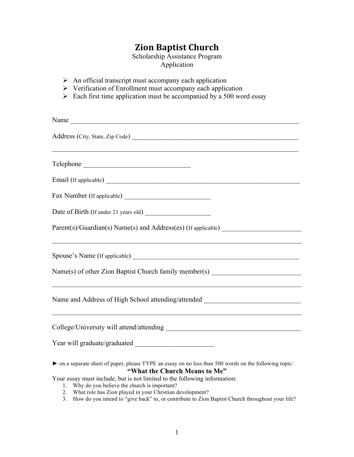# **Zion%Baptist%Church**

Scholarship Assistance Program Application

- $\triangleright$  An official transcript must accompany each application
- $\triangleright$  Verification of Enrollment must accompany each application
- $\triangleright$  Each first time application must be accompanied by a 500 word essay

| Name                                                                                                                                    |
|-----------------------------------------------------------------------------------------------------------------------------------------|
|                                                                                                                                         |
| Telephone                                                                                                                               |
| Email (If applicable)                                                                                                                   |
|                                                                                                                                         |
|                                                                                                                                         |
| Parent(s)/Guardian(s) Name(s) and Address(es) (If applicable) ___________________                                                       |
|                                                                                                                                         |
| Name(s) of other Zion Baptist Church family member(s) __________________________                                                        |
| Name and Address of High School attending/attended _____________________________                                                        |
|                                                                                                                                         |
|                                                                                                                                         |
| • on a separate sheet of paper, please TYPE an essay on no less than 500 words on the following topic:<br>"What the Church Means to Me" |
| Your essay must include, but is not limited to the following information:                                                               |

- 1. Why do you believe the church is important?
- 2. What role has Zion played in your Christian development?
- 3. How do you intend to "give back" to, or contribute to Zion Baptist Church throughout your life?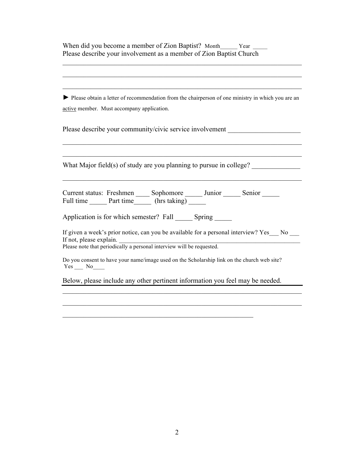When did you become a member of Zion Baptist? Month\_\_\_\_\_\_ Year \_\_\_\_\_ Please describe your involvement as a member of Zion Baptist Church

► Please obtain a letter of recommendation from the chairperson of one ministry in which you are an active member. Must accompany application.

 $\mathcal{L}_\mathcal{L} = \mathcal{L}_\mathcal{L} = \mathcal{L}_\mathcal{L} = \mathcal{L}_\mathcal{L} = \mathcal{L}_\mathcal{L} = \mathcal{L}_\mathcal{L} = \mathcal{L}_\mathcal{L} = \mathcal{L}_\mathcal{L} = \mathcal{L}_\mathcal{L} = \mathcal{L}_\mathcal{L} = \mathcal{L}_\mathcal{L} = \mathcal{L}_\mathcal{L} = \mathcal{L}_\mathcal{L} = \mathcal{L}_\mathcal{L} = \mathcal{L}_\mathcal{L} = \mathcal{L}_\mathcal{L} = \mathcal{L}_\mathcal{L}$ 

 $\mathcal{L}_\mathcal{L} = \mathcal{L}_\mathcal{L} = \mathcal{L}_\mathcal{L} = \mathcal{L}_\mathcal{L} = \mathcal{L}_\mathcal{L} = \mathcal{L}_\mathcal{L} = \mathcal{L}_\mathcal{L} = \mathcal{L}_\mathcal{L} = \mathcal{L}_\mathcal{L} = \mathcal{L}_\mathcal{L} = \mathcal{L}_\mathcal{L} = \mathcal{L}_\mathcal{L} = \mathcal{L}_\mathcal{L} = \mathcal{L}_\mathcal{L} = \mathcal{L}_\mathcal{L} = \mathcal{L}_\mathcal{L} = \mathcal{L}_\mathcal{L}$ 

 $\mathcal{L}_\mathcal{L} = \mathcal{L}_\mathcal{L} = \mathcal{L}_\mathcal{L} = \mathcal{L}_\mathcal{L} = \mathcal{L}_\mathcal{L} = \mathcal{L}_\mathcal{L} = \mathcal{L}_\mathcal{L} = \mathcal{L}_\mathcal{L} = \mathcal{L}_\mathcal{L} = \mathcal{L}_\mathcal{L} = \mathcal{L}_\mathcal{L} = \mathcal{L}_\mathcal{L} = \mathcal{L}_\mathcal{L} = \mathcal{L}_\mathcal{L} = \mathcal{L}_\mathcal{L} = \mathcal{L}_\mathcal{L} = \mathcal{L}_\mathcal{L}$ 

 $\mathcal{L}_\mathcal{L} = \mathcal{L}_\mathcal{L} = \mathcal{L}_\mathcal{L} = \mathcal{L}_\mathcal{L} = \mathcal{L}_\mathcal{L} = \mathcal{L}_\mathcal{L} = \mathcal{L}_\mathcal{L} = \mathcal{L}_\mathcal{L} = \mathcal{L}_\mathcal{L} = \mathcal{L}_\mathcal{L} = \mathcal{L}_\mathcal{L} = \mathcal{L}_\mathcal{L} = \mathcal{L}_\mathcal{L} = \mathcal{L}_\mathcal{L} = \mathcal{L}_\mathcal{L} = \mathcal{L}_\mathcal{L} = \mathcal{L}_\mathcal{L}$ 

 $\mathcal{L}_\mathcal{L} = \mathcal{L}_\mathcal{L} = \mathcal{L}_\mathcal{L} = \mathcal{L}_\mathcal{L} = \mathcal{L}_\mathcal{L} = \mathcal{L}_\mathcal{L} = \mathcal{L}_\mathcal{L} = \mathcal{L}_\mathcal{L} = \mathcal{L}_\mathcal{L} = \mathcal{L}_\mathcal{L} = \mathcal{L}_\mathcal{L} = \mathcal{L}_\mathcal{L} = \mathcal{L}_\mathcal{L} = \mathcal{L}_\mathcal{L} = \mathcal{L}_\mathcal{L} = \mathcal{L}_\mathcal{L} = \mathcal{L}_\mathcal{L}$ 

 $\mathcal{L}_\mathcal{L} = \mathcal{L}_\mathcal{L} = \mathcal{L}_\mathcal{L} = \mathcal{L}_\mathcal{L} = \mathcal{L}_\mathcal{L} = \mathcal{L}_\mathcal{L} = \mathcal{L}_\mathcal{L} = \mathcal{L}_\mathcal{L} = \mathcal{L}_\mathcal{L} = \mathcal{L}_\mathcal{L} = \mathcal{L}_\mathcal{L} = \mathcal{L}_\mathcal{L} = \mathcal{L}_\mathcal{L} = \mathcal{L}_\mathcal{L} = \mathcal{L}_\mathcal{L} = \mathcal{L}_\mathcal{L} = \mathcal{L}_\mathcal{L}$ 

Please describe your community/civic service involvement

What Major field(s) of study are you planning to pursue in college? \_\_\_\_\_\_\_\_\_\_\_\_

| Current status: Freshmen |           | Sophomore    | Junior | Senior |  |
|--------------------------|-----------|--------------|--------|--------|--|
| Full time                | Part time | (hrs taking) |        |        |  |

Application is for which semester? Fall Spring

If given a week's prior notice, can you be available for a personal interview? Yes No If not, please explain.

 $\mathcal{L}_\mathcal{L} = \mathcal{L}_\mathcal{L} = \mathcal{L}_\mathcal{L} = \mathcal{L}_\mathcal{L} = \mathcal{L}_\mathcal{L} = \mathcal{L}_\mathcal{L} = \mathcal{L}_\mathcal{L} = \mathcal{L}_\mathcal{L} = \mathcal{L}_\mathcal{L} = \mathcal{L}_\mathcal{L} = \mathcal{L}_\mathcal{L} = \mathcal{L}_\mathcal{L} = \mathcal{L}_\mathcal{L} = \mathcal{L}_\mathcal{L} = \mathcal{L}_\mathcal{L} = \mathcal{L}_\mathcal{L} = \mathcal{L}_\mathcal{L}$ 

 $\mathcal{L}_\mathcal{L} = \mathcal{L}_\mathcal{L} = \mathcal{L}_\mathcal{L} = \mathcal{L}_\mathcal{L} = \mathcal{L}_\mathcal{L} = \mathcal{L}_\mathcal{L} = \mathcal{L}_\mathcal{L} = \mathcal{L}_\mathcal{L} = \mathcal{L}_\mathcal{L} = \mathcal{L}_\mathcal{L} = \mathcal{L}_\mathcal{L} = \mathcal{L}_\mathcal{L} = \mathcal{L}_\mathcal{L} = \mathcal{L}_\mathcal{L} = \mathcal{L}_\mathcal{L} = \mathcal{L}_\mathcal{L} = \mathcal{L}_\mathcal{L}$ 

Please note that periodically a personal interview will be requested.

Do you consent to have your name/image used on the Scholarship link on the church web site? Yes \_\_\_ No\_\_\_\_

Below, please include any other pertinent information you feel may be needed.

 $\mathcal{L}_\text{max}$  , and the contribution of the contribution of the contribution of the contribution of the contribution of the contribution of the contribution of the contribution of the contribution of the contribution of t